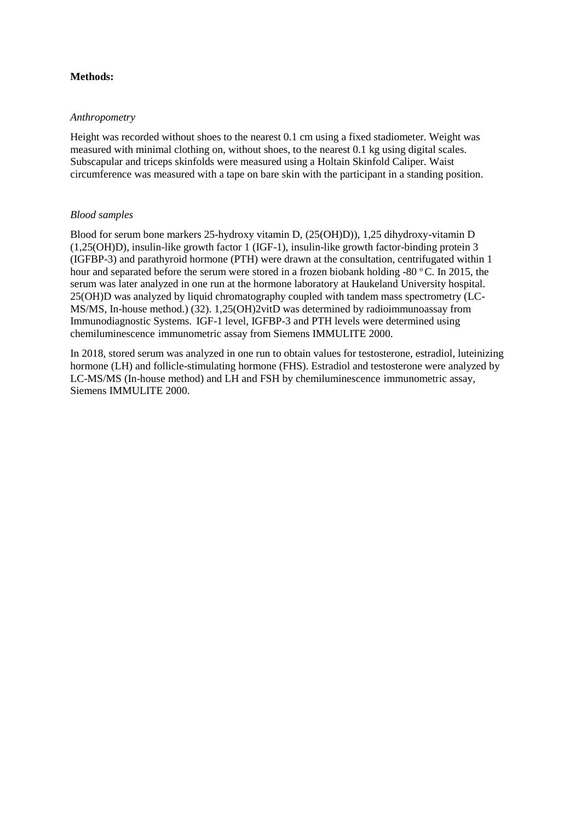## **Methods:**

## *Anthropometry*

Height was recorded without shoes to the nearest 0.1 cm using a fixed stadiometer. Weight was measured with minimal clothing on, without shoes, to the nearest 0.1 kg using digital scales. Subscapular and triceps skinfolds were measured using a Holtain Skinfold Caliper. Waist circumference was measured with a tape on bare skin with the participant in a standing position.

## *Blood samples*

Blood for serum bone markers 25-hydroxy vitamin D, (25(OH)D)), 1,25 dihydroxy-vitamin D (1,25(OH)D), insulin-like growth factor 1 (IGF-1), insulin-like growth factor-binding protein 3 (IGFBP-3) and parathyroid hormone (PTH) were drawn at the consultation, centrifugated within 1 hour and separated before the serum were stored in a frozen biobank holding -80  $^{\circ}$ C. In 2015, the serum was later analyzed in one run at the hormone laboratory at Haukeland University hospital. 25(OH)D was analyzed by liquid chromatography coupled with tandem mass spectrometry (LC-MS/MS, In-house method.) (32). 1,25(OH)2vitD was determined by radioimmunoassay from Immunodiagnostic Systems. IGF-1 level, IGFBP-3 and PTH levels were determined using chemiluminescence immunometric assay from Siemens IMMULITE 2000.

In 2018, stored serum was analyzed in one run to obtain values for testosterone, estradiol, luteinizing hormone (LH) and follicle-stimulating hormone (FHS). Estradiol and testosterone were analyzed by LC-MS/MS (In-house method) and LH and FSH by chemiluminescence immunometric assay, Siemens IMMULITE 2000.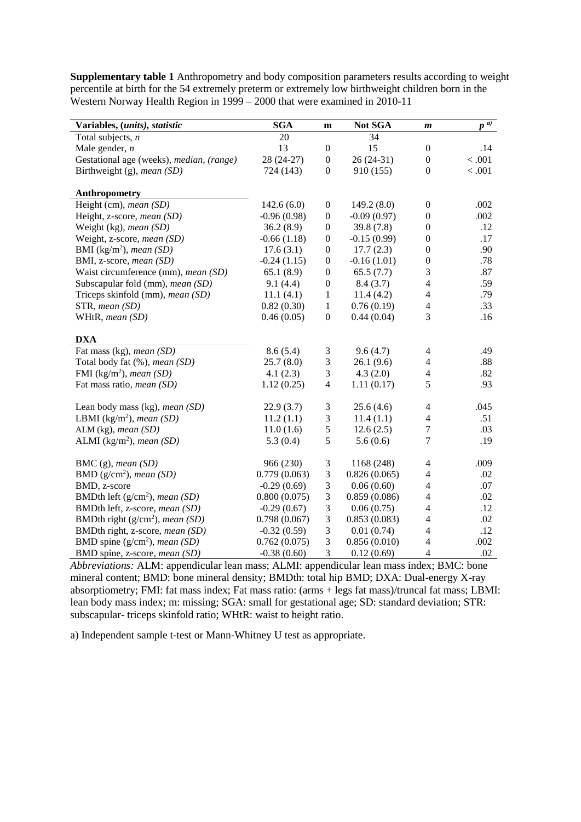**Supplementary table 1** Anthropometry and body composition parameters results according to weight percentile at birth for the 54 extremely preterm or extremely low birthweight children born in the Western Norway Health Region in 1999 – 2000 that were examined in 2010-11

| Variables, (units), statistic            | <b>SGA</b>    | m                | Not SGA       | $\boldsymbol{m}$         | $p^{(\overline{a})}$ |
|------------------------------------------|---------------|------------------|---------------|--------------------------|----------------------|
| Total subjects, $n$                      | 20            |                  | 34            |                          |                      |
| Male gender, $n$                         | 13            | $\boldsymbol{0}$ | 15            | $\overline{0}$           | .14                  |
| Gestational age (weeks), median, (range) | 28 (24-27)    | $\boldsymbol{0}$ | 26 (24-31)    | $\boldsymbol{0}$         | < 0.001              |
| Birthweight (g), mean (SD)               | 724 (143)     | $\boldsymbol{0}$ | 910 (155)     | $\boldsymbol{0}$         | < .001               |
|                                          |               |                  |               |                          |                      |
| Anthropometry                            |               |                  |               |                          |                      |
| Height (cm), mean (SD)                   | 142.6(6.0)    | $\boldsymbol{0}$ | 149.2(8.0)    | $\boldsymbol{0}$         | .002                 |
| Height, z-score, mean (SD)               | $-0.96(0.98)$ | $\boldsymbol{0}$ | $-0.09(0.97)$ | $\boldsymbol{0}$         | .002                 |
| Weight (kg), mean (SD)                   | 36.2(8.9)     | $\boldsymbol{0}$ | 39.8(7.8)     | $\boldsymbol{0}$         | .12                  |
| Weight, z-score, mean (SD)               | $-0.66(1.18)$ | $\boldsymbol{0}$ | $-0.15(0.99)$ | $\boldsymbol{0}$         | .17                  |
| BMI (kg/m <sup>2</sup> ), mean (SD)      | 17.6(3.1)     | $\boldsymbol{0}$ | 17.7(2.3)     | $\boldsymbol{0}$         | .90                  |
| BMI, z-score, mean (SD)                  | $-0.24(1.15)$ | $\boldsymbol{0}$ | $-0.16(1.01)$ | $\boldsymbol{0}$         | .78                  |
| Waist circumference (mm), mean (SD)      | 65.1(8.9)     | $\boldsymbol{0}$ | 65.5(7.7)     | 3                        | .87                  |
| Subscapular fold (mm), mean (SD)         | 9.1(4.4)      | $\boldsymbol{0}$ | 8.4(3.7)      | $\overline{\mathcal{A}}$ | .59                  |
| Triceps skinfold (mm), mean (SD)         | 11.1(4.1)     | $\mathbf{1}$     | 11.4(4.2)     | $\overline{4}$           | .79                  |
| STR, mean (SD)                           | 0.82(0.30)    | $\mathbf{1}$     | 0.76(0.19)    | $\overline{4}$           | .33                  |
| WHtR, mean (SD)                          | 0.46(0.05)    | $\boldsymbol{0}$ | 0.44(0.04)    | 3                        | .16                  |
|                                          |               |                  |               |                          |                      |
| <b>DXA</b>                               |               |                  |               |                          |                      |
| Fat mass (kg), mean (SD)                 | 8.6(5.4)      | 3                | 9.6(4.7)      | 4                        | .49                  |
| Total body fat (%), mean (SD)            | 25.7(8.0)     | $\mathfrak{Z}$   | 26.1(9.6)     | $\overline{4}$           | .88                  |
| FMI (kg/m <sup>2</sup> ), mean (SD)      | 4.1(2.3)      | 3                | 4.3(2.0)      | $\overline{4}$           | .82                  |
| Fat mass ratio, mean (SD)                | 1.12(0.25)    | $\overline{4}$   | 1.11(0.17)    | 5                        | .93                  |
|                                          |               |                  |               |                          |                      |
| Lean body mass (kg), mean (SD)           | 22.9(3.7)     | $\mathfrak{Z}$   | 25.6(4.6)     | 4                        | .045                 |
| LBMI (kg/m <sup>2</sup> ), mean (SD)     | 11.2(1.1)     | 3                | 11.4(1.1)     | $\overline{4}$           | .51                  |
| ALM $(kg)$ , mean $(SD)$                 | 11.0(1.6)     | 5                | 12.6(2.5)     | $\overline{7}$           | .03                  |
| ALMI (kg/m <sup>2</sup> ), mean (SD)     | 5.3(0.4)      | 5                | 5.6(0.6)      | $\overline{7}$           | .19                  |
|                                          |               |                  |               |                          |                      |
| BMC $(g)$ , mean $(SD)$                  | 966 (230)     | 3                | 1168 (248)    | $\overline{\mathcal{L}}$ | .009                 |
| BMD $(g/cm2)$ , mean (SD)                | 0.779(0.063)  | 3                | 0.826(0.065)  | 4                        | .02                  |
| BMD, z-score                             | $-0.29(0.69)$ | 3                | 0.06(0.60)    | $\overline{4}$           | .07                  |
| BMDth left $(g/cm2)$ , mean (SD)         | 0.800(0.075)  | $\mathfrak{Z}$   | 0.859(0.086)  | $\overline{\mathcal{L}}$ | .02                  |
| BMDth left, z-score, mean (SD)           | $-0.29(0.67)$ | 3                | 0.06(0.75)    | 4                        | .12                  |
| BMDth right ( $g/cm2$ ), mean (SD)       | 0.798(0.067)  | 3                | 0.853(0.083)  | $\overline{\mathcal{L}}$ | .02                  |
| BMDth right, z-score, mean (SD)          | $-0.32(0.59)$ | 3                | 0.01(0.74)    | $\overline{4}$           | .12                  |
| BMD spine $(g/cm2)$ , mean (SD)          | 0.762(0.075)  | 3                | 0.856(0.010)  | $\overline{4}$           | .002                 |
| BMD spine, z-score, mean (SD)            | $-0.38(0.60)$ | 3                | 0.12(0.69)    | $\overline{4}$           | .02                  |

*Abbreviations:* ALM: appendicular lean mass; ALMI: appendicular lean mass index; BMC: bone mineral content; BMD: bone mineral density; BMDth: total hip BMD; DXA: Dual-energy X-ray absorptiometry; FMI: fat mass index; Fat mass ratio: (arms + legs fat mass)/truncal fat mass; LBMI: lean body mass index; m: missing; SGA: small for gestational age; SD: standard deviation; STR: subscapular- triceps skinfold ratio; WHtR: waist to height ratio.

a) Independent sample t-test or Mann-Whitney U test as appropriate.